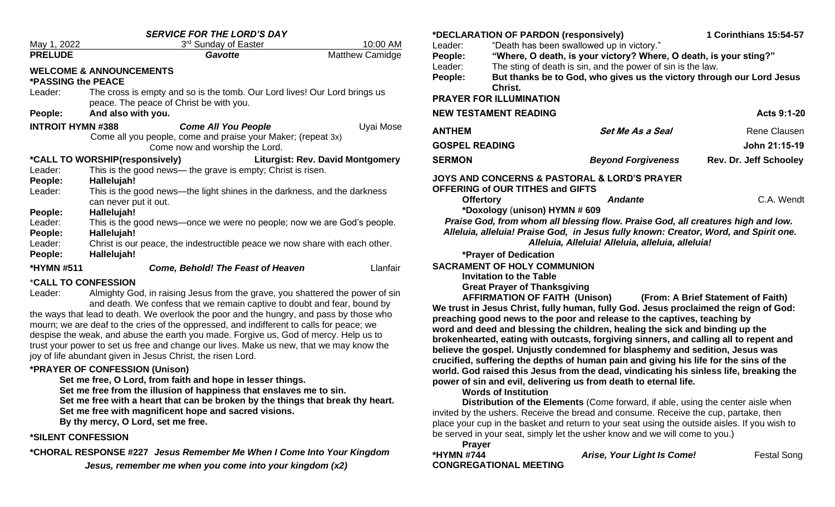| <b>SERVICE FOR THE LORD'S DAY</b>                                         |                                                                                                                                                           |                        |  |  |  |
|---------------------------------------------------------------------------|-----------------------------------------------------------------------------------------------------------------------------------------------------------|------------------------|--|--|--|
| May 1, 2022                                                               | 3 <sup>rd</sup> Sunday of Easter                                                                                                                          | 10:00 AM               |  |  |  |
| <b>PRELUDE</b>                                                            | Gavotte                                                                                                                                                   | <b>Matthew Camidge</b> |  |  |  |
| <b>WELCOME &amp; ANNOUNCEMENTS</b><br><b>*PASSING the PEACE</b>           |                                                                                                                                                           |                        |  |  |  |
| Leader:                                                                   | The cross is empty and so is the tomb. Our Lord lives! Our Lord brings us<br>peace. The peace of Christ be with you.                                      |                        |  |  |  |
| People:                                                                   | And also with you.                                                                                                                                        |                        |  |  |  |
| <b>INTROIT HYMN #388</b>                                                  | <b>Come All You People</b><br>Come all you people, come and praise your Maker; (repeat 3x)<br>Come now and worship the Lord.                              | Uyai Mose              |  |  |  |
| *CALL TO WORSHIP(responsively)<br><b>Liturgist: Rev. David Montgomery</b> |                                                                                                                                                           |                        |  |  |  |
| Leader:<br>People:                                                        | This is the good news— the grave is empty; Christ is risen.<br>Hallelujah!                                                                                |                        |  |  |  |
| Leader:                                                                   | This is the good news—the light shines in the darkness, and the darkness<br>can never put it out.                                                         |                        |  |  |  |
| People:                                                                   | Hallelujah!                                                                                                                                               |                        |  |  |  |
| Leader:<br>People:                                                        | This is the good news—once we were no people; now we are God's people.<br>Hallelujah!                                                                     |                        |  |  |  |
| Leader:<br>People:                                                        | Christ is our peace, the indestructible peace we now share with each other.<br>Hallelujah!                                                                |                        |  |  |  |
| *HYMN #511                                                                | <b>Come, Behold! The Feast of Heaven</b>                                                                                                                  | Llanfair               |  |  |  |
| <i><b>*CALL TO CONFESSION</b></i>                                         |                                                                                                                                                           |                        |  |  |  |
| Leader:                                                                   | Almighty God, in raising Jesus from the grave, you shattered the power of sin<br>and death. We confess that we remain captive to doubt and fear, bound by |                        |  |  |  |

the ways that lead to death. We overlook the poor and the hungry, and pass by those who mourn; we are deaf to the cries of the oppressed, and indifferent to calls for peace; we despise the weak, and abuse the earth you made. Forgive us, God of mercy. Help us to trust your power to set us free and change our lives. Make us new, that we may know the joy of life abundant given in Jesus Christ, the risen Lord.

### **\*PRAYER OF CONFESSION (Unison)**

**Set me free, O Lord, from faith and hope in lesser things.**

**Set me free from the illusion of happiness that enslaves me to sin.**

**Set me free with a heart that can be broken by the things that break thy heart.** 

**Set me free with magnificent hope and sacred visions.**

**By thy mercy, O Lord, set me free.** 

### **\*SILENT CONFESSION**

**\*CHORAL RESPONSE #227** *Jesus Remember Me When I Come Into Your Kingdom*

*Jesus, remember me when you come into your kingdom (x2)*

|                       | *DECLARATION OF PARDON (responsively) |                                                                                      | 1 Corinthians 15:54-57             |
|-----------------------|---------------------------------------|--------------------------------------------------------------------------------------|------------------------------------|
| Leader:               |                                       | "Death has been swallowed up in victory."                                            |                                    |
| People:               |                                       | "Where, O death, is your victory? Where, O death, is your sting?"                    |                                    |
| Leader:               |                                       | The sting of death is sin, and the power of sin is the law.                          |                                    |
| People:               | Christ.                               | But thanks be to God, who gives us the victory through our Lord Jesus                |                                    |
|                       | <b>PRAYER FOR ILLUMINATION</b>        |                                                                                      |                                    |
|                       | <b>NEW TESTAMENT READING</b>          |                                                                                      | Acts 9:1-20                        |
| <b>ANTHEM</b>         |                                       | <b>Set Me As a Seal</b>                                                              | Rene Clausen                       |
| <b>GOSPEL READING</b> |                                       |                                                                                      | John 21:15-19                      |
| <b>SERMON</b>         |                                       | <b>Beyond Forgiveness</b>                                                            | <b>Rev. Dr. Jeff Schooley</b>      |
|                       | OFFERING of OUR TITHES and GIFTS      | <b>JOYS AND CONCERNS &amp; PASTORAL &amp; LORD'S PRAYER</b>                          |                                    |
|                       | <b>Offertory</b>                      | <b>Andante</b>                                                                       | C.A. Wendt                         |
|                       | *Doxology (unison) HYMN # 609         |                                                                                      |                                    |
|                       |                                       | Praise God, from whom all blessing flow. Praise God, all creatures high and low.     |                                    |
|                       |                                       | Alleluia, alleluia! Praise God, in Jesus fully known: Creator, Word, and Spirit one. |                                    |
|                       |                                       | Alleluia, Alleluia! Alleluia, alleluia, alleluia!                                    |                                    |
|                       | *Prayer of Dedication                 |                                                                                      |                                    |
|                       | <b>SACRAMENT OF HOLY COMMUNION</b>    |                                                                                      |                                    |
|                       | <b>Invitation to the Table</b>        |                                                                                      |                                    |
|                       | <b>Great Prayer of Thanksgiving</b>   |                                                                                      |                                    |
|                       | <b>AFFIRMATION OF FAITH (Unison)</b>  | We trust in Jesus Christ, fully human, fully God. Jesus proclaimed the reign of God: | (From: A Brief Statement of Faith) |
|                       |                                       |                                                                                      |                                    |
|                       |                                       | preaching good news to the poor and release to the captives, teaching by             |                                    |

**preaching good news to the poor and release to the captives, teaching by word and deed and blessing the children, healing the sick and binding up the brokenhearted, eating with outcasts, forgiving sinners, and calling all to repent and believe the gospel. Unjustly condemned for blasphemy and sedition, Jesus was crucified, suffering the depths of human pain and giving his life for the sins of the world. God raised this Jesus from the dead, vindicating his sinless life, breaking the power of sin and evil, delivering us from death to eternal life.**

### **Words of Institution**

**Distribution of the Elements** (Come forward, if able, using the center aisle when invited by the ushers. Receive the bread and consume. Receive the cup, partake, then place your cup in the basket and return to your seat using the outside aisles. If you wish to be served in your seat, simply let the usher know and we will come to you.) **Prayer**

| <b>Fidyel</b>                 |   |
|-------------------------------|---|
| *HYMN #744                    | А |
| <b>CONGREGATIONAL MEETING</b> |   |

*Arise, Your Light Is Come!* **Festal Song**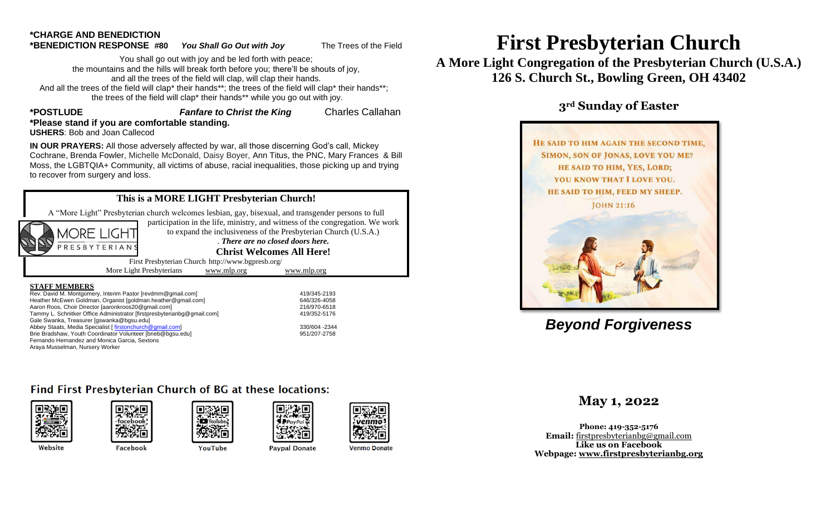# **\*CHARGE AND BENEDICTION**

to recover from surgery and loss.

PRESBYTERIAN

**\*BENEDICTION RESPONSE #80** *You Shall Go Out with Joy* The Trees of the Field

You shall go out with joy and be led forth with peace; the mountains and the hills will break forth before you; there'll be shouts of joy, and all the trees of the field will clap, will clap their hands. And all the trees of the field will clap\* their hands\*\*; the trees of the field will clap\* their hands\*\*; the trees of the field will clap\* their hands\*\* while you go out with joy.

#### **\*POSTLUDE** *Fanfare to Christ the King* Charles Callahan **\*Please stand if you are comfortable standing. USHERS**: Bob and Joan Callecod

**IN OUR PRAYERS:** All those adversely affected by war, all those discerning God's call, Mickey Cochrane, Brenda Fowler, Michelle McDonald, Daisy Boyer, Ann Titus, the PNC, Mary Frances & Bill Moss, the LGBTQIA+ Community, all victims of abuse, racial inequalities, those picking up and trying

### **This is a MORE LIGHT Presbyterian Church!**

A "More Light" Presbyterian church welcomes lesbian, gay, bisexual, and transgender persons to full

participation in the life, ministry, and witness of the congregation. We work MORE LIGHT

to expand the inclusiveness of the Presbyterian Church (U.S.A.) . *There are no closed doors here.*

**Christ Welcomes All Here!**

First Presbyterian Church http://www.bgpresb.org/ More Light Presbyterians [www.mlp.org](http://www.mlp.org/) [www.mlp.org](http://www.mlp.org/)

#### **STAFF MEMBERS**

| Rev. David M. Montgomery, Interim Pastor [revdmm@gmail.com]             | 419/345-2193   |
|-------------------------------------------------------------------------|----------------|
| Heather McEwen Goldman, Organist [goldman.heather@gmail.com]            | 646/326-4058   |
| Aaron Roos, Choir Director [aaronkroos20@gmail.com]                     | 216/970-6518   |
| Tammy L. Schnitker Office Administrator [firstpresbyterianbg@gmail.com] | 419/352-5176   |
| Gale Swanka, Treasurer [gswanka@bgsu.edu]                               |                |
| Abbey Staats, Media Specialist [firstonchurch@gmail.com]                | 330/604 - 2344 |
| Brie Bradshaw, Youth Coordinator Volunteer [brieb@bqsu.edu]             | 951/207-2758   |
| Fernando Hernandez and Monica Garcia. Sextons                           |                |
| Arava Musselman, Nursery Worker                                         |                |

216/970-6518 419/352-5176 330/604 -2344 951/207-2758

# Find First Presbyterian Church of BG at these locations:





Facebook







YouTube



**P**PayPal

**Paypal Donate** 

**Venmo Donate** 

# **First Presbyterian Church**

**A More Light Congregation of the Presbyterian Church (U.S.A.) 126 S. Church St., Bowling Green, OH 43402**

# **3rd Sunday of Easter**



# *Beyond Forgiveness*

## **May 1, 2022**

**Phone: 419-352-5176 Email:** [firstpresbyterianbg@gmail.com](mailto:firstpresbyterianbg@gmail.com) **Like us on Facebook Webpage: [www.firstpresbyterianbg.org](http://www.firstpresbyterianbg.org/)**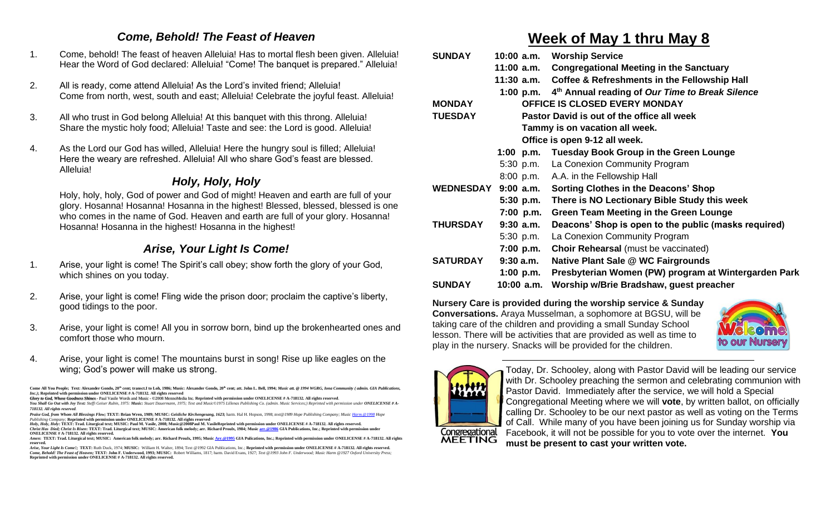### *Come, Behold! The Feast of Heaven*

- 1. Come, behold! The feast of heaven Alleluia! Has to mortal flesh been given. Alleluia! Hear the Word of God declared: Alleluia! "Come! The banquet is prepared." Alleluia!
- 2. All is ready, come attend Alleluia! As the Lord's invited friend; Alleluia! Come from north, west, south and east; Alleluia! Celebrate the joyful feast. Alleluia!
- 3. All who trust in God belong Alleluia! At this banquet with this throng. Alleluia! Share the mystic holy food; Alleluia! Taste and see: the Lord is good. Alleluia!
- 4. As the Lord our God has willed, Alleluia! Here the hungry soul is filled; Alleluia! Here the weary are refreshed. Alleluia! All who share God's feast are blessed. Alleluia!

# *Holy, Holy, Holy*

Holy, holy, holy, God of power and God of might! Heaven and earth are full of your glory. Hosanna! Hosanna! Hosanna in the highest! Blessed, blessed, blessed is one who comes in the name of God. Heaven and earth are full of your glory. Hosanna! Hosanna! Hosanna in the highest! Hosanna in the highest!

# *Arise, Your Light Is Come!*

- 1. Arise, your light is come! The Spirit's call obey; show forth the glory of your God, which shines on you today.
- 2. Arise, your light is come! Fling wide the prison door; proclaim the captive's liberty, good tidings to the poor.
- 3. Arise, your light is come! All you in sorrow born, bind up the brokenhearted ones and comfort those who mourn.
- 4. Arise, your light is come! The mountains burst in song! Rise up like eagles on the wing; God's power will make us strong.

# **Week of May 1 thru May 8**

| <b>SUNDAY</b>       | 10:00 a.m.  | <b>Worship Service</b>                                                |
|---------------------|-------------|-----------------------------------------------------------------------|
|                     | 11:00 a.m.  | <b>Congregational Meeting in the Sanctuary</b>                        |
|                     |             | 11:30 a.m. Coffee & Refreshments in the Fellowship Hall               |
|                     |             | 1:00 p.m. 4 <sup>th</sup> Annual reading of Our Time to Break Silence |
| <b>MONDAY</b>       |             | <b>OFFICE IS CLOSED EVERY MONDAY</b>                                  |
| <b>TUESDAY</b>      |             | Pastor David is out of the office all week                            |
|                     |             | Tammy is on vacation all week.                                        |
|                     |             | Office is open 9-12 all week.                                         |
|                     |             | 1:00 p.m. Tuesday Book Group in the Green Lounge                      |
|                     |             | 5:30 p.m. La Conexion Community Program                               |
|                     |             | 8:00 p.m. A.A. in the Fellowship Hall                                 |
| WEDNESDAY 9:00 a.m. |             | <b>Sorting Clothes in the Deacons' Shop</b>                           |
|                     | $5:30$ p.m. | There is NO Lectionary Bible Study this week                          |
|                     | 7:00 p.m.   | <b>Green Team Meeting in the Green Lounge</b>                         |
| <b>THURSDAY</b>     | $9:30$ a.m. | Deacons' Shop is open to the public (masks required)                  |
|                     | $5:30$ p.m. | La Conexion Community Program                                         |
|                     | 7:00 p.m.   | <b>Choir Rehearsal</b> (must be vaccinated)                           |
| <b>SATURDAY</b>     | 9:30a.m.    | Native Plant Sale @ WC Fairgrounds                                    |
|                     | $1:00$ p.m. | Presbyterian Women (PW) program at Wintergarden Park                  |
| <b>SUNDAY</b>       | 10:00 a.m.  | Worship w/Brie Bradshaw, guest preacher                               |

**Nursery Care is provided during the worship service & Sunday Conversations.** Araya Musselman, a sophomore at BGSU, will be taking care of the children and providing a small Sunday School lesson. There will be activities that are provided as well as time to play in the nursery. Snacks will be provided for the children.





Today, Dr. Schooley, along with Pastor David will be leading our service with Dr. Schooley preaching the sermon and celebrating communion with Pastor David. Immediately after the service, we will hold a Special Congregational Meeting where we will **vote**, by written ballot, on officially calling Dr. Schooley to be our next pastor as well as voting on the Terms of Call. While many of you have been joining us for Sunday worship via Facebook, it will not be possible for you to vote over the internet. **You must be present to cast your written vote.**

Come All You People; Text: Alexander Gondo, 20<sup>th</sup> cent; transct.I to Loh, 1986; Music: Alexander Gondo, 20<sup>th</sup> cent; att. John L. Bell, 1994; Music att. @ 1994 WGRG, Iona Community (admin. GIA Pub. *Inc.)***; Reprinted with permission under ONELICENSE # A-718132. All rights reserved**

*Glory to God, Whose Goodness Shines* - Paul Vasile Words and Music - ©2008 MennoMedia Inc. **Reprinted with permission under ONELICENSE # A-718132. All rights reserved**. You Shall Go Out with Joy Text: Steffi Geiser Rubin, 1975: Music: Stuart Dauermann, 1975; Text and Music@1975 Lillenas Publishing Co. (admin. Music Services;) Reprinted with permission under ONELICENSE # A-

*<sup>718132.</sup> All rights reserved.*

Praise God, from Whom All Blessings Flow; TEXT: Brian Wren, 1989; MUSIC: Geisliche Kirchengesang, 1623; hann. Hal H. Hopson, 1998; text@1989 Hope Publishing Company; Music <u>Harm.@1998</u> Hope<br>Publishing Company; **Reprinted w** *Holy, Holy, Holy***: TEXT: Trad. Liturgical text; MUSIC: Paul M. Vasile, 2008; Music@2008Paul M. VasileReprinted with permission under ONELICENSE # A-718132. All rights reserved.**

*Christ Has Died; Christ Is Risen***: TEXT: Trad. Liturgical text; MUSIC: American folk melody; arr. Richard Proulx, 1984; Musi[c arr.@1986](mailto:arr.@1986) GIA Publications, Inc.; Reprinted with permission under ONELICENSE # A-718132. All rights reserved.** *Amen***: TEXT**: Trad. Liturgical text: MUSIC: American folk melody; arr. Richard Proulx, 1995; Musi[c Arr.@1995](mailto:Arr.@1995) GIA Pulications, Inc.; Reprinted with per

**reserved.**  *Arise, Your Light Is Come!;* **TEXT:** Ruth Duck, 1974; **MUSIC:** William H. Walter, 1894; Text @1992 GIA Publications, Inc.; **Reprinted with permission under ONELICENSE # A-718132. All rights reserved.**

*Come, Behold! The Feast of Heaven;* **TEXT: John F. Underwood, 1993; MUSIC:** Robert Williams, 1817; harm. David Evans, 1927; *Text @1993 John F. Underwood; Music Harm @1927 Oxford University Press;*  **Reprinted with permission under ONELICENSE # A-718132. All rights reserved.**